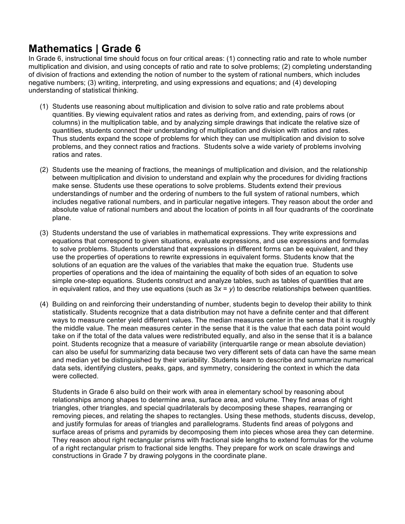# **Mathematics | Grade 6**

In Grade 6, instructional time should focus on four critical areas: (1) connecting ratio and rate to whole number multiplication and division, and using concepts of ratio and rate to solve problems; (2) completing understanding of division of fractions and extending the notion of number to the system of rational numbers, which includes negative numbers; (3) writing, interpreting, and using expressions and equations; and (4) developing understanding of statistical thinking.

- (1) Students use reasoning about multiplication and division to solve ratio and rate problems about quantities. By viewing equivalent ratios and rates as deriving from, and extending, pairs of rows (or columns) in the multiplication table, and by analyzing simple drawings that indicate the relative size of quantities, students connect their understanding of multiplication and division with ratios and rates. Thus students expand the scope of problems for which they can use multiplication and division to solve problems, and they connect ratios and fractions. Students solve a wide variety of problems involving ratios and rates.
- (2) Students use the meaning of fractions, the meanings of multiplication and division, and the relationship between multiplication and division to understand and explain why the procedures for dividing fractions make sense. Students use these operations to solve problems. Students extend their previous understandings of number and the ordering of numbers to the full system of rational numbers, which includes negative rational numbers, and in particular negative integers. They reason about the order and absolute value of rational numbers and about the location of points in all four quadrants of the coordinate plane.
- (3) Students understand the use of variables in mathematical expressions. They write expressions and equations that correspond to given situations, evaluate expressions, and use expressions and formulas to solve problems. Students understand that expressions in different forms can be equivalent, and they use the properties of operations to rewrite expressions in equivalent forms. Students know that the solutions of an equation are the values of the variables that make the equation true. Students use properties of operations and the idea of maintaining the equality of both sides of an equation to solve simple one-step equations. Students construct and analyze tables, such as tables of quantities that are in equivalent ratios, and they use equations (such as  $3x = y$ ) to describe relationships between quantities.
- (4) Building on and reinforcing their understanding of number, students begin to develop their ability to think statistically. Students recognize that a data distribution may not have a definite center and that different ways to measure center yield different values. The median measures center in the sense that it is roughly the middle value. The mean measures center in the sense that it is the value that each data point would take on if the total of the data values were redistributed equally, and also in the sense that it is a balance point. Students recognize that a measure of variability (interquartile range or mean absolute deviation) can also be useful for summarizing data because two very different sets of data can have the same mean and median yet be distinguished by their variability. Students learn to describe and summarize numerical data sets, identifying clusters, peaks, gaps, and symmetry, considering the context in which the data were collected.

Students in Grade 6 also build on their work with area in elementary school by reasoning about relationships among shapes to determine area, surface area, and volume. They find areas of right triangles, other triangles, and special quadrilaterals by decomposing these shapes, rearranging or removing pieces, and relating the shapes to rectangles. Using these methods, students discuss, develop, and justify formulas for areas of triangles and parallelograms. Students find areas of polygons and surface areas of prisms and pyramids by decomposing them into pieces whose area they can determine. They reason about right rectangular prisms with fractional side lengths to extend formulas for the volume of a right rectangular prism to fractional side lengths. They prepare for work on scale drawings and constructions in Grade 7 by drawing polygons in the coordinate plane.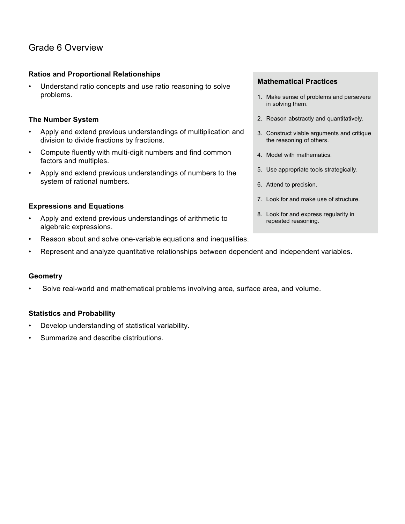## Grade 6 Overview

## **Ratios and Proportional Relationships**

• Understand ratio concepts and use ratio reasoning to solve problems.

## **The Number System**

- Apply and extend previous understandings of multiplication and division to divide fractions by fractions.
- Compute fluently with multi-digit numbers and find common factors and multiples.
- Apply and extend previous understandings of numbers to the system of rational numbers.

## **Expressions and Equations**

- Apply and extend previous understandings of arithmetic to algebraic expressions.
- Reason about and solve one-variable equations and inequalities.
- Represent and analyze quantitative relationships between dependent and independent variables.

## **Geometry**

• Solve real-world and mathematical problems involving area, surface area, and volume.

## **Statistics and Probability**

- Develop understanding of statistical variability.
- Summarize and describe distributions.

## **Mathematical Practices**

- 1. Make sense of problems and persevere in solving them.
- 2. Reason abstractly and quantitatively.
- 3. Construct viable arguments and critique the reasoning of others.
- 4. Model with mathematics.
- 5. Use appropriate tools strategically.
- 6. Attend to precision.
- 7. Look for and make use of structure.
- 8. Look for and express regularity in repeated reasoning.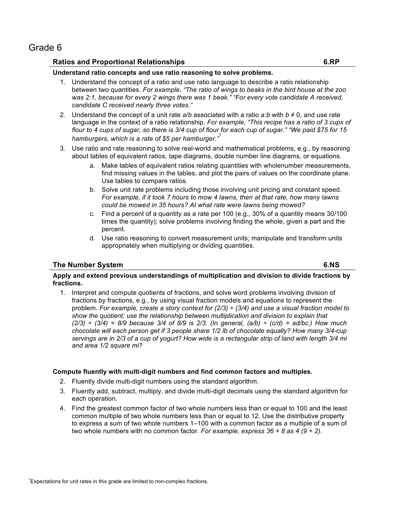## Grade 6

## **Ratios and Proportional Relationships 6.RP**

#### **Understand ratio concepts and use ratio reasoning to solve problems.**

- 1. Understand the concept of a ratio and use ratio language to describe a ratio relationship between two quantities. *For example, "The ratio of wings to beaks in the bird house at the zoo was 2:1, because for every 2 wings there was 1 beak." "For every vote candidate A received, candidate C received nearly three votes."*
- 2. Understand the concept of a unit rate  $a/b$  associated with a ratio  $a:b$  with  $b \ne 0$ , and use rate language in the context of a ratio relationship. *For example, "This recipe has a ratio of 3 cups of flour to 4 cups of sugar, so there is 3/4 cup of flour for each cup of sugar." "We paid \$75 for 15 hamburgers, which is a rate of \$5 per hamburger."*<sup>1</sup>
- 3. Use ratio and rate reasoning to solve real-world and mathematical problems, e.g., by reasoning about tables of equivalent ratios, tape diagrams, double number line diagrams, or equations.
	- a. Make tables of equivalent ratios relating quantities with wholenumber measurements, find missing values in the tables, and plot the pairs of values on the coordinate plane. Use tables to compare ratios.
	- b. Solve unit rate problems including those involving unit pricing and constant speed. *For example, if it took 7 hours to mow 4 lawns, then at that rate, how many lawns could be mowed in 35 hours? At what rate were lawns being mowed?*
	- c. Find a percent of a quantity as a rate per 100 (e.g., 30% of a quantity means 30/100 times the quantity); solve problems involving finding the whole, given a part and the percent.
	- d. Use ratio reasoning to convert measurement units; manipulate and transform units appropriately when multiplying or dividing quantities.

#### **The Number System 6.NS**

#### **Apply and extend previous understandings of multiplication and division to divide fractions by fractions.**

1. Interpret and compute quotients of fractions, and solve word problems involving division of fractions by fractions, e.g., by using visual fraction models and equations to represent the problem. *For example, create a story context for (2/3) ÷ (3/4) and use a visual fraction model to show the quotient; use the relationship between multiplication and division to explain that (2/3) ÷ (3/4) = 8/9 because 3/4 of 8/9 is 2/3. (In general, (a/b) ÷ (c/d) = ad/bc.) How much chocolate will each person get if 3 people share 1/2 lb of chocolate equally? How many 3/4-cup servings are in 2/3 of a cup of yogurt? How wide is a rectangular strip of land with length 3/4 mi and area 1/2 square mi?* 

#### **Compute fluently with multi-digit numbers and find common factors and multiples.**

- 2. Fluently divide multi-digit numbers using the standard algorithm.
- 3. Fluently add, subtract, multiply, and divide multi-digit decimals using the standard algorithm for each operation.
- 4. Find the greatest common factor of two whole numbers less than or equal to 100 and the least common multiple of two whole numbers less than or equal to 12. Use the distributive property to express a sum of two whole numbers 1–100 with a common factor as a multiple of a sum of two whole numbers with no common factor. *For example, express 36 + 8 as 4 (9 + 2).*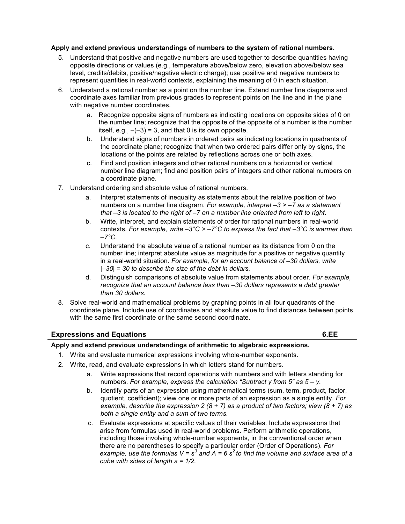#### **Apply and extend previous understandings of numbers to the system of rational numbers.**

- 5. Understand that positive and negative numbers are used together to describe quantities having opposite directions or values (e.g., temperature above/below zero, elevation above/below sea level, credits/debits, positive/negative electric charge); use positive and negative numbers to represent quantities in real-world contexts, explaining the meaning of 0 in each situation.
- 6. Understand a rational number as a point on the number line. Extend number line diagrams and coordinate axes familiar from previous grades to represent points on the line and in the plane with negative number coordinates.
	- a. Recognize opposite signs of numbers as indicating locations on opposite sides of 0 on the number line; recognize that the opposite of the opposite of a number is the number itself, e.g.,  $-(-3) = 3$ , and that 0 is its own opposite.
	- b. Understand signs of numbers in ordered pairs as indicating locations in quadrants of the coordinate plane; recognize that when two ordered pairs differ only by signs, the locations of the points are related by reflections across one or both axes.
	- c. Find and position integers and other rational numbers on a horizontal or vertical number line diagram; find and position pairs of integers and other rational numbers on a coordinate plane.
- 7. Understand ordering and absolute value of rational numbers.
	- a. Interpret statements of inequality as statements about the relative position of two numbers on a number line diagram. *For example, interpret –3 > –7 as a statement that –3 is located to the right of –7 on a number line oriented from left to right.*
	- b. Write, interpret, and explain statements of order for rational numbers in real-world contexts. *For example, write –3°C > –7°C to express the fact that –3°C is warmer than –7°C.*
	- c. Understand the absolute value of a rational number as its distance from 0 on the number line; interpret absolute value as magnitude for a positive or negative quantity in a real-world situation. *For example, for an account balance of –30 dollars, write |–30| = 30 to describe the size of the debt in dollars.*
	- d. Distinguish comparisons of absolute value from statements about order. *For example, recognize that an account balance less than –30 dollars represents a debt greater than 30 dollars.*
- 8. Solve real-world and mathematical problems by graphing points in all four quadrants of the coordinate plane. Include use of coordinates and absolute value to find distances between points with the same first coordinate or the same second coordinate.

#### **Expressions and Equations 6.EE**

#### **Apply and extend previous understandings of arithmetic to algebraic expressions.**

- 1. Write and evaluate numerical expressions involving whole-number exponents.
- 2. Write, read, and evaluate expressions in which letters stand for numbers.
	- a. Write expressions that record operations with numbers and with letters standing for numbers. *For example, express the calculation "Subtract y from 5" as 5 – y.*
	- b. Identify parts of an expression using mathematical terms (sum, term, product, factor, quotient, coefficient); view one or more parts of an expression as a single entity. *For example, describe the expression 2 (8 + 7) as a product of two factors; view (8 + 7) as both a single entity and a sum of two terms.*
	- c. Evaluate expressions at specific values of their variables. Include expressions that arise from formulas used in real-world problems. Perform arithmetic operations, including those involving whole-number exponents, in the conventional order when there are no parentheses to specify a particular order (Order of Operations). *For* example, use the formulas  $V = s^3$  and  $A = 6 s^2$  to find the volume and surface area of a *cube with sides of length s = 1/2.*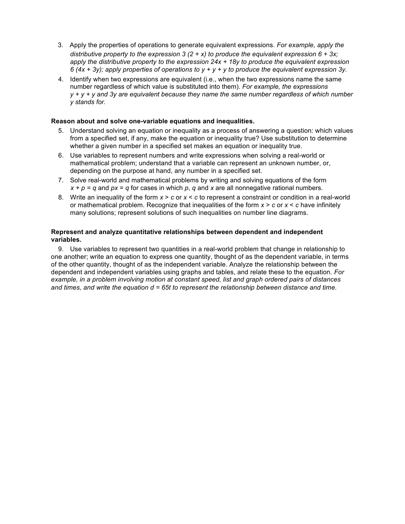- *distributive property to the expression 3 (2 + x) to produce the equivalent expression 6 + 3x; apply the distributive property to the expression 24x + 18y to produce the equivalent expression 6 (4x + 3y); apply properties of operations to y + y + y to produce the equivalent expression 3y.* 3. Apply the properties of operations to generate equivalent expressions. *For example, apply the*
- 4. Identify when two expressions are equivalent (i.e., when the two expressions name the same number regardless of which value is substituted into them). *For example, the expressions y + y + y and 3y are equivalent because they name the same number regardless of which number y stands for.*

#### **Reason about and solve one-variable equations and inequalities.**

- 5. Understand solving an equation or inequality as a process of answering a question: which values from a specified set, if any, make the equation or inequality true? Use substitution to determine whether a given number in a specified set makes an equation or inequality true.
- 6. Use variables to represent numbers and write expressions when solving a real-world or mathematical problem; understand that a variable can represent an unknown number, or, depending on the purpose at hand, any number in a specified set.
- 7. Solve real-world and mathematical problems by writing and solving equations of the form  $x + p = q$  and  $px = q$  for cases in which p, q and x are all nonnegative rational numbers.
- 8. Write an inequality of the form *x* > *c* or *x* < *c* to represent a constraint or condition in a real-world or mathematical problem. Recognize that inequalities of the form *x* > *c* or *x* < *c* have infinitely many solutions; represent solutions of such inequalities on number line diagrams.

#### **Represent and analyze quantitative relationships between dependent and independent variables.**

9. Use variables to represent two quantities in a real-world problem that change in relationship to one another; write an equation to express one quantity, thought of as the dependent variable, in terms of the other quantity, thought of as the independent variable. Analyze the relationship between the dependent and independent variables using graphs and tables, and relate these to the equation. *For example, in a problem involving motion at constant speed, list and graph ordered pairs of distances and times, and write the equation d = 65t to represent the relationship between distance and time.*